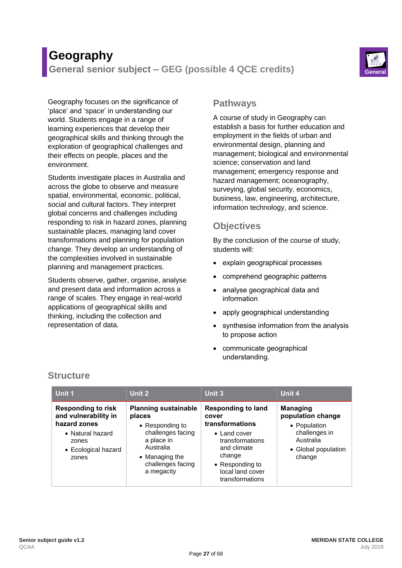# **Geography**

**General senior subject – GEG (possible 4 QCE credits)** 



Geography focuses on the significance of 'place' and 'space' in understanding our world. Students engage in a range of learning experiences that develop their geographical skills and thinking through the exploration of geographical challenges and their effects on people, places and the environment.

Students investigate places in Australia and across the globe to observe and measure spatial, environmental, economic, political, social and cultural factors. They interpret global concerns and challenges including responding to risk in hazard zones, planning sustainable places, managing land cover transformations and planning for population change. They develop an understanding of the complexities involved in sustainable planning and management practices.

Students observe, gather, organise, analyse and present data and information across a range of scales. They engage in real-world applications of geographical skills and thinking, including the collection and representation of data.

### **Pathways**

A course of study in Geography can establish a basis for further education and employment in the fields of urban and environmental design, planning and management; biological and environmental science; conservation and land management; emergency response and hazard management; oceanography, surveying, global security, economics, business, law, engineering, architecture, information technology, and science.

# **Objectives**

By the conclusion of the course of study, students will:

- explain geographical processes
- comprehend geographic patterns
- analyse geographical data and information
- apply geographical understanding
- synthesise information from the analysis to propose action
- communicate geographical understanding.

| Unit 1                                                                                                                         | Unit 2                                                                                                                                                        | Unit 3                                                                                                                                                                              | Unit 4                                                                                                              |
|--------------------------------------------------------------------------------------------------------------------------------|---------------------------------------------------------------------------------------------------------------------------------------------------------------|-------------------------------------------------------------------------------------------------------------------------------------------------------------------------------------|---------------------------------------------------------------------------------------------------------------------|
| <b>Responding to risk</b><br>and vulnerability in<br>hazard zones<br>• Natural hazard<br>zones<br>• Ecological hazard<br>zones | <b>Planning sustainable</b><br>places<br>• Responding to<br>challenges facing<br>a place in<br>Australia<br>• Managing the<br>challenges facing<br>a megacity | <b>Responding to land</b><br>cover<br>transformations<br>$\bullet$ Land cover<br>transformations<br>and climate<br>change<br>• Responding to<br>local land cover<br>transformations | <b>Managing</b><br>population change<br>• Population<br>challenges in<br>Australia<br>• Global population<br>change |

# **Structure**